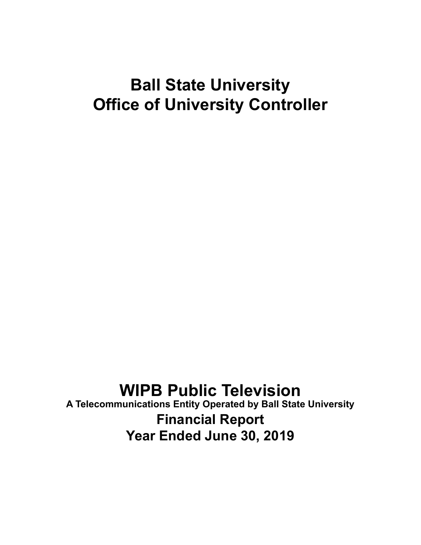# **Ball State University Office of University Controller**

# **WIPB Public Television**

**A Telecommunications Entity Operated by Ball State University Financial Report Year Ended June 30, 2019**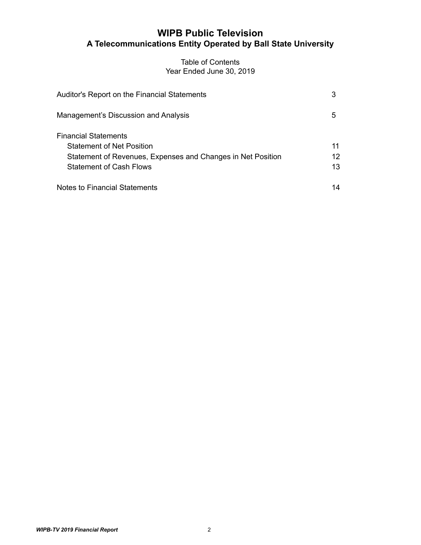# **WIPB Public Television A Telecommunications Entity Operated by Ball State University**

## Table of Contents Year Ended June 30, 2019

| Auditor's Report on the Financial Statements                                                                                                              | 3              |
|-----------------------------------------------------------------------------------------------------------------------------------------------------------|----------------|
| Management's Discussion and Analysis                                                                                                                      | 5              |
| Financial Statements<br><b>Statement of Net Position</b><br>Statement of Revenues, Expenses and Changes in Net Position<br><b>Statement of Cash Flows</b> | 11<br>12<br>13 |
| Notes to Financial Statements                                                                                                                             | 14             |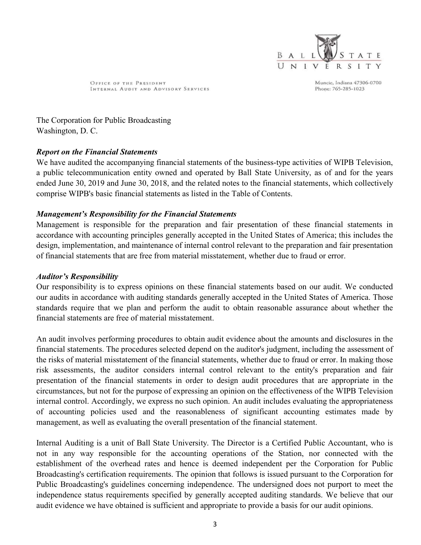

OFFICE OF THE PRESIDENT INTERNAL AUDIT AND ADVISORY SERVICES Muncie, Indiana 47306-0700 Phone: 765-285-1023

The Corporation for Public Broadcasting Washington, D. C.

## Report on the Financial Statements

We have audited the accompanying financial statements of the business-type activities of WIPB Television, a public telecommunication entity owned and operated by Ball State University, as of and for the years ended June 30, 2019 and June 30, 2018, and the related notes to the financial statements, which collectively comprise WIPB's basic financial statements as listed in the Table of Contents.

## Management's Responsibility for the Financial Statements

Management is responsible for the preparation and fair presentation of these financial statements in accordance with accounting principles generally accepted in the United States of America; this includes the design, implementation, and maintenance of internal control relevant to the preparation and fair presentation of financial statements that are free from material misstatement, whether due to fraud or error.

## Auditor's Responsibility

Our responsibility is to express opinions on these financial statements based on our audit. We conducted our audits in accordance with auditing standards generally accepted in the United States of America. Those standards require that we plan and perform the audit to obtain reasonable assurance about whether the financial statements are free of material misstatement.

An audit involves performing procedures to obtain audit evidence about the amounts and disclosures in the financial statements. The procedures selected depend on the auditor's judgment, including the assessment of the risks of material misstatement of the financial statements, whether due to fraud or error. In making those risk assessments, the auditor considers internal control relevant to the entity's preparation and fair presentation of the financial statements in order to design audit procedures that are appropriate in the circumstances, but not for the purpose of expressing an opinion on the effectiveness of the WIPB Television internal control. Accordingly, we express no such opinion. An audit includes evaluating the appropriateness of accounting policies used and the reasonableness of significant accounting estimates made by management, as well as evaluating the overall presentation of the financial statement.

Internal Auditing is a unit of Ball State University. The Director is a Certified Public Accountant, who is not in any way responsible for the accounting operations of the Station, nor connected with the establishment of the overhead rates and hence is deemed independent per the Corporation for Public Broadcasting's certification requirements. The opinion that follows is issued pursuant to the Corporation for Public Broadcasting's guidelines concerning independence. The undersigned does not purport to meet the independence status requirements specified by generally accepted auditing standards. We believe that our audit evidence we have obtained is sufficient and appropriate to provide a basis for our audit opinions.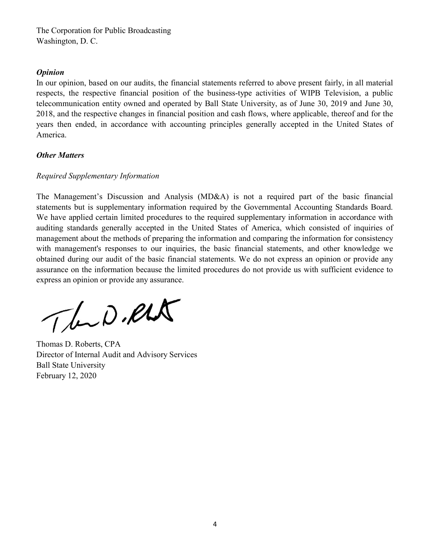The Corporation for Public Broadcasting Washington, D. C.

### **Opinion**

In our opinion, based on our audits, the financial statements referred to above present fairly, in all material respects, the respective financial position of the business-type activities of WIPB Television, a public telecommunication entity owned and operated by Ball State University, as of June 30, 2019 and June 30, 2018, and the respective changes in financial position and cash flows, where applicable, thereof and for the years then ended, in accordance with accounting principles generally accepted in the United States of America.

## **Other Matters**

## Required Supplementary Information

The Management's Discussion and Analysis (MD&A) is not a required part of the basic financial statements but is supplementary information required by the Governmental Accounting Standards Board. We have applied certain limited procedures to the required supplementary information in accordance with auditing standards generally accepted in the United States of America, which consisted of inquiries of management about the methods of preparing the information and comparing the information for consistency with management's responses to our inquiries, the basic financial statements, and other knowledge we obtained during our audit of the basic financial statements. We do not express an opinion or provide any assurance on the information because the limited procedures do not provide us with sufficient evidence to express an opinion or provide any assurance.

The D.RLA

Thomas D. Roberts, CPA Director of Internal Audit and Advisory Services Ball State University February 12, 2020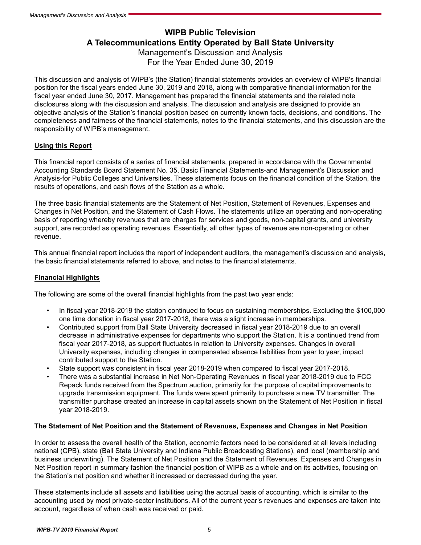## **WIPB Public Television A Telecommunications Entity Operated by Ball State University** Management's Discussion and Analysis For the Year Ended June 30, 2019

This discussion and analysis of WIPB's (the Station) financial statements provides an overview of WIPB's financial position for the fiscal years ended June 30, 2019 and 2018, along with comparative financial information for the fiscal year ended June 30, 2017. Management has prepared the financial statements and the related note disclosures along with the discussion and analysis. The discussion and analysis are designed to provide an objective analysis of the Station's financial position based on currently known facts, decisions, and conditions. The completeness and fairness of the financial statements, notes to the financial statements, and this discussion are the responsibility of WIPB's management.

### **Using this Report**

This financial report consists of a series of financial statements, prepared in accordance with the Governmental Accounting Standards Board Statement No. 35, Basic Financial Statements-and Management's Discussion and Analysis-for Public Colleges and Universities. These statements focus on the financial condition of the Station, the results of operations, and cash flows of the Station as a whole.

The three basic financial statements are the Statement of Net Position, Statement of Revenues, Expenses and Changes in Net Position, and the Statement of Cash Flows. The statements utilize an operating and non-operating basis of reporting whereby revenues that are charges for services and goods, non-capital grants, and university support, are recorded as operating revenues. Essentially, all other types of revenue are non-operating or other revenue.

This annual financial report includes the report of independent auditors, the management's discussion and analysis, the basic financial statements referred to above, and notes to the financial statements.

#### **Financial Highlights**

The following are some of the overall financial highlights from the past two year ends:

- In fiscal year 2018-2019 the station continued to focus on sustaining memberships. Excluding the \$100,000 one time donation in fiscal year 2017-2018, there was a slight increase in memberships.
- Contributed support from Ball State University decreased in fiscal year 2018-2019 due to an overall decrease in administrative expenses for departments who support the Station. It is a continued trend from fiscal year 2017-2018, as support fluctuates in relation to University expenses. Changes in overall University expenses, including changes in compensated absence liabilities from year to year, impact contributed support to the Station.
- State support was consistent in fiscal year 2018-2019 when compared to fiscal year 2017-2018.
- There was a substantial increase in Net Non-Operating Revenues in fiscal year 2018-2019 due to FCC Repack funds received from the Spectrum auction, primarily for the purpose of capital improvements to upgrade transmission equipment. The funds were spent primarily to purchase a new TV transmitter. The transmitter purchase created an increase in capital assets shown on the Statement of Net Position in fiscal year 2018-2019.

#### **The Statement of Net Position and the Statement of Revenues, Expenses and Changes in Net Position**

In order to assess the overall health of the Station, economic factors need to be considered at all levels including national (CPB), state (Ball State University and Indiana Public Broadcasting Stations), and local (membership and business underwriting). The Statement of Net Position and the Statement of Revenues, Expenses and Changes in Net Position report in summary fashion the financial position of WIPB as a whole and on its activities, focusing on the Station's net position and whether it increased or decreased during the year.

These statements include all assets and liabilities using the accrual basis of accounting, which is similar to the accounting used by most private-sector institutions. All of the current year's revenues and expenses are taken into account, regardless of when cash was received or paid.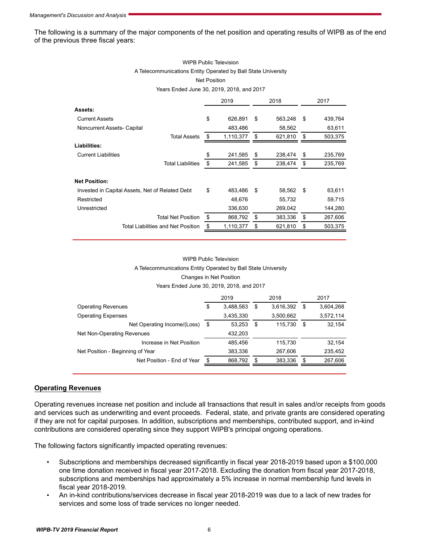The following is a summary of the major components of the net position and operating results of WIPB as of the end of the previous three fiscal years:

#### WIPB Public Television A Telecommunications Entity Operated by Ball State University Net Position

Years Ended June 30, 2019, 2018, and 2017

|                                                 | 2019 |           | 2018          | 2017 |         |
|-------------------------------------------------|------|-----------|---------------|------|---------|
| Assets:                                         |      |           |               |      |         |
| <b>Current Assets</b>                           | \$   | 626,891   | \$<br>563,248 | \$   | 439,764 |
| Noncurrent Assets- Capital                      |      | 483,486   | 58,562        |      | 63,611  |
| <b>Total Assets</b>                             | \$   | 1,110,377 | \$<br>621,810 | S    | 503,375 |
| <b>Liabilities:</b>                             |      |           |               |      |         |
| <b>Current Liabilities</b>                      | \$   | 241,585   | \$<br>238,474 | \$   | 235,769 |
| <b>Total Liabilities</b>                        | \$   | 241,585   | \$<br>238,474 | \$   | 235,769 |
| <b>Net Position:</b>                            |      |           |               |      |         |
| Invested in Capital Assets, Net of Related Debt | \$   | 483.486   | \$<br>58,562  | \$   | 63,611  |
| Restricted                                      |      | 48.676    | 55,732        |      | 59,715  |
| Unrestricted                                    |      | 336,630   | 269,042       |      | 144,280 |
| <b>Total Net Position</b>                       | \$   | 868,792   | \$<br>383,336 | \$   | 267,606 |
| Total Liabilities and Net Position              | \$   | 1,110,377 | \$<br>621,810 | \$   | 503,375 |

#### WIPB Public Television A Telecommunications Entity Operated by Ball State University Changes in Net Position Years Ended June 30, 2019, 2018, and 2017

|                                  |     | 2019      |    | 2018      |     | 2017      |
|----------------------------------|-----|-----------|----|-----------|-----|-----------|
| <b>Operating Revenues</b>        | \$  | 3,488,583 | \$ | 3,616,392 | S   | 3,604,268 |
| <b>Operating Expenses</b>        |     | 3,435,330 |    | 3,500,662 |     | 3,572,114 |
| Net Operating Income/(Loss)      | \$  | 53.253    | \$ | 115.730   | S   | 32,154    |
| Net Non-Operating Revenues       |     | 432,203   |    |           |     |           |
| Increase in Net Position         |     | 485.456   |    | 115,730   |     | 32,154    |
| Net Position - Beginning of Year |     | 383,336   |    | 267.606   |     | 235,452   |
| Net Position - End of Year       | \$. | 868,792   | S  | 383,336   | \$. | 267,606   |
|                                  |     |           |    |           |     |           |

#### **Operating Revenues**

Operating revenues increase net position and include all transactions that result in sales and/or receipts from goods and services such as underwriting and event proceeds. Federal, state, and private grants are considered operating if they are not for capital purposes. In addition, subscriptions and memberships, contributed support, and in-kind contributions are considered operating since they support WIPB's principal ongoing operations.

The following factors significantly impacted operating revenues:

- Subscriptions and memberships decreased significantly in fiscal year 2018-2019 based upon a \$100,000 one time donation received in fiscal year 2017-2018. Excluding the donation from fiscal year 2017-2018, subscriptions and memberships had approximately a 5% increase in normal membership fund levels in fiscal year 2018-2019.
- An in-kind contributions/services decrease in fiscal year 2018-2019 was due to a lack of new trades for services and some loss of trade services no longer needed.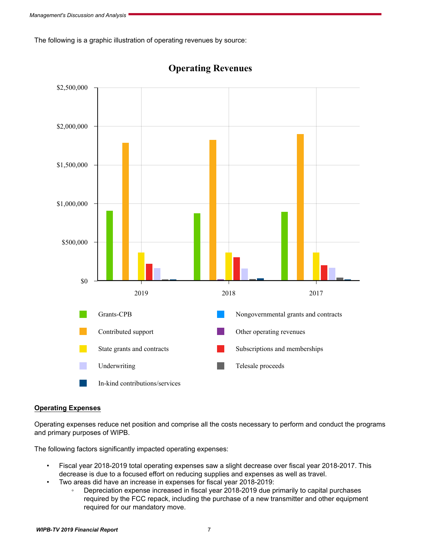The following is a graphic illustration of operating revenues by source:



**Operating Revenues**

#### **Operating Expenses**

Operating expenses reduce net position and comprise all the costs necessary to perform and conduct the programs and primary purposes of WIPB.

The following factors significantly impacted operating expenses:

- Fiscal year 2018-2019 total operating expenses saw a slight decrease over fiscal year 2018-2017. This decrease is due to a focused effort on reducing supplies and expenses as well as travel.
- Two areas did have an increase in expenses for fiscal year 2018-2019:
	- Depreciation expense increased in fiscal year 2018-2019 due primarily to capital purchases required by the FCC repack, including the purchase of a new transmitter and other equipment required for our mandatory move.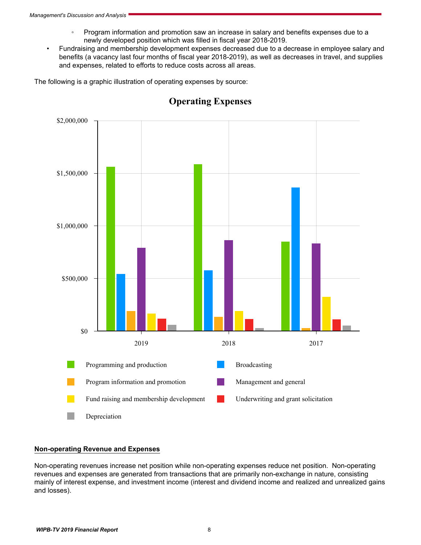- Program information and promotion saw an increase in salary and benefits expenses due to a newly developed position which was filled in fiscal year 2018-2019.
- Fundraising and membership development expenses decreased due to a decrease in employee salary and benefits (a vacancy last four months of fiscal year 2018-2019), as well as decreases in travel, and supplies and expenses, related to efforts to reduce costs across all areas.

The following is a graphic illustration of operating expenses by source:



# **Operating Expenses**

#### **Non-operating Revenue and Expenses**

Non-operating revenues increase net position while non-operating expenses reduce net position. Non-operating revenues and expenses are generated from transactions that are primarily non-exchange in nature, consisting mainly of interest expense, and investment income (interest and dividend income and realized and unrealized gains and losses).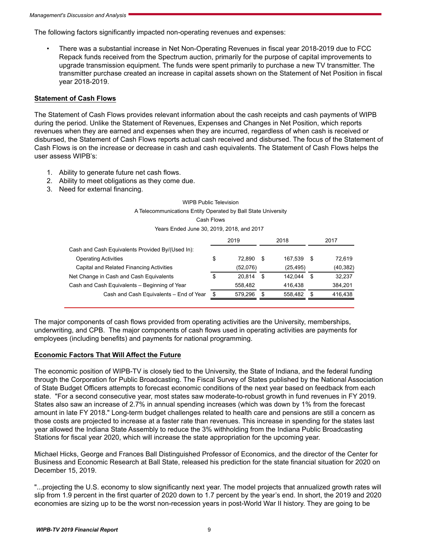The following factors significantly impacted non-operating revenues and expenses:

• There was a substantial increase in Net Non-Operating Revenues in fiscal year 2018-2019 due to FCC Repack funds received from the Spectrum auction, primarily for the purpose of capital improvements to upgrade transmission equipment. The funds were spent primarily to purchase a new TV transmitter. The transmitter purchase created an increase in capital assets shown on the Statement of Net Position in fiscal year 2018-2019.

#### **Statement of Cash Flows**

The Statement of Cash Flows provides relevant information about the cash receipts and cash payments of WIPB during the period. Unlike the Statement of Revenues, Expenses and Changes in Net Position, which reports revenues when they are earned and expenses when they are incurred, regardless of when cash is received or disbursed, the Statement of Cash Flows reports actual cash received and disbursed. The focus of the Statement of Cash Flows is on the increase or decrease in cash and cash equivalents. The Statement of Cash Flows helps the user assess WIPB's:

- 1. Ability to generate future net cash flows.
- 2. Ability to meet obligations as they come due.
- 3. Need for external financing.

## WIPB Public Television A Telecommunications Entity Operated by Ball State University Cash Flows

Years Ended June 30, 2019, 2018, and 2017

|                                                  | 2019          |   | 2018      | 2017 |           |
|--------------------------------------------------|---------------|---|-----------|------|-----------|
| Cash and Cash Equivalents Provided By/(Used In): |               |   |           |      |           |
| <b>Operating Activities</b>                      | \$<br>72.890  |   | 167.539   | - \$ | 72.619    |
| Capital and Related Financing Activities         | (52,076)      |   | (25, 495) |      | (40, 382) |
| Net Change in Cash and Cash Equivalents          | \$<br>20.814  |   | 142.044   | \$.  | 32,237    |
| Cash and Cash Equivalents - Beginning of Year    | 558,482       |   | 416.438   |      | 384,201   |
| Cash and Cash Equivalents - End of Year          | \$<br>579.296 | S | 558.482   | S    | 416.438   |
|                                                  |               |   |           |      |           |

The major components of cash flows provided from operating activities are the University, memberships, underwriting, and CPB. The major components of cash flows used in operating activities are payments for employees (including benefits) and payments for national programming.

#### **Economic Factors That Will Affect the Future**

The economic position of WIPB-TV is closely tied to the University, the State of Indiana, and the federal funding through the Corporation for Public Broadcasting. The Fiscal Survey of States published by the National Association of State Budget Officers attempts to forecast economic conditions of the next year based on feedback from each state. "For a second consecutive year, most states saw moderate-to-robust growth in fund revenues in FY 2019. States also saw an increase of 2.7% in annual spending increases (which was down by 1% from the forecast amount in late FY 2018." Long-term budget challenges related to health care and pensions are still a concern as those costs are projected to increase at a faster rate than revenues. This increase in spending for the states last year allowed the Indiana State Assembly to reduce the 3% withholding from the Indiana Public Broadcasting Stations for fiscal year 2020, which will increase the state appropriation for the upcoming year.

Michael Hicks, George and Frances Ball Distinguished Professor of Economics, and the director of the Center for Business and Economic Research at Ball State, released his prediction for the state financial situation for 2020 on December 15, 2019.

"...projecting the U.S. economy to slow significantly next year. The model projects that annualized growth rates will slip from 1.9 percent in the first quarter of 2020 down to 1.7 percent by the year's end. In short, the 2019 and 2020 economies are sizing up to be the worst non-recession years in post-World War II history. They are going to be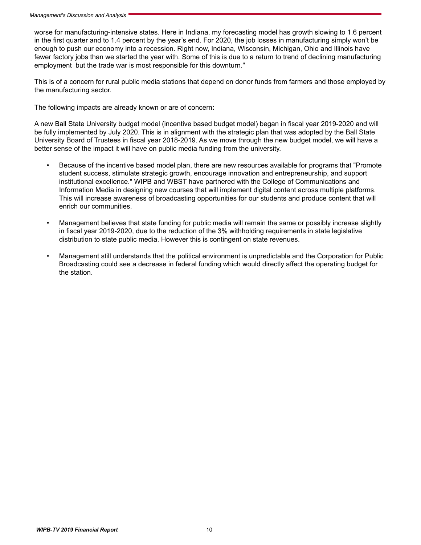worse for manufacturing-intensive states. Here in Indiana, my forecasting model has growth slowing to 1.6 percent in the first quarter and to 1.4 percent by the year's end. For 2020, the job losses in manufacturing simply won't be enough to push our economy into a recession. Right now, Indiana, Wisconsin, Michigan, Ohio and Illinois have fewer factory jobs than we started the year with. Some of this is due to a return to trend of declining manufacturing employment but the trade war is most responsible for this downturn."

This is of a concern for rural public media stations that depend on donor funds from farmers and those employed by the manufacturing sector.

The following impacts are already known or are of concern**:**

A new Ball State University budget model (incentive based budget model) began in fiscal year 2019-2020 and will be fully implemented by July 2020. This is in alignment with the strategic plan that was adopted by the Ball State University Board of Trustees in fiscal year 2018-2019. As we move through the new budget model, we will have a better sense of the impact it will have on public media funding from the university.

- Because of the incentive based model plan, there are new resources available for programs that "Promote student success, stimulate strategic growth, encourage innovation and entrepreneurship, and support institutional excellence." WIPB and WBST have partnered with the College of Communications and Information Media in designing new courses that will implement digital content across multiple platforms. This will increase awareness of broadcasting opportunities for our students and produce content that will enrich our communities.
- Management believes that state funding for public media will remain the same or possibly increase slightly in fiscal year 2019-2020, due to the reduction of the 3% withholding requirements in state legislative distribution to state public media. However this is contingent on state revenues.
- Management still understands that the political environment is unpredictable and the Corporation for Public Broadcasting could see a decrease in federal funding which would directly affect the operating budget for the station.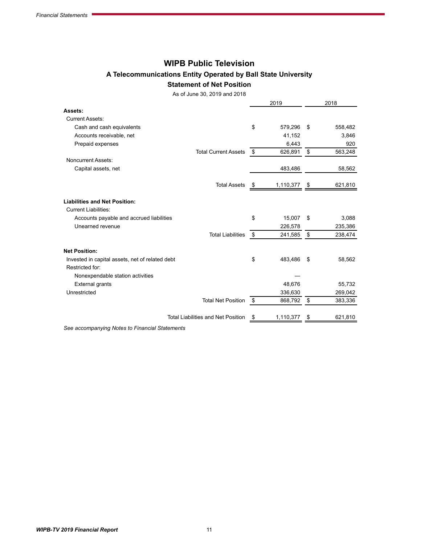## **WIPB Public Television**

## **A Telecommunications Entity Operated by Ball State University Statement of Net Position**

As of June 30, 2019 and 2018

|                                                                    |    | 2019      |      | 2018    |
|--------------------------------------------------------------------|----|-----------|------|---------|
| Assets:                                                            |    |           |      |         |
| <b>Current Assets:</b>                                             |    |           |      |         |
| Cash and cash equivalents                                          | \$ | 579,296   | -\$  | 558,482 |
| Accounts receivable, net                                           |    | 41,152    |      | 3,846   |
| Prepaid expenses                                                   |    | 6,443     |      | 920     |
| <b>Total Current Assets</b>                                        | \$ | 626,891   | \$   | 563,248 |
| <b>Noncurrent Assets:</b>                                          |    |           |      |         |
| Capital assets, net                                                |    | 483,486   |      | 58,562  |
| <b>Total Assets</b>                                                | P  | 1,110,377 | -\$  | 621,810 |
| <b>Liabilities and Net Position:</b>                               |    |           |      |         |
| <b>Current Liabilities:</b>                                        |    |           |      |         |
| Accounts payable and accrued liabilities                           | \$ | 15,007    | \$   | 3,088   |
| Unearned revenue                                                   |    | 226,578   |      | 235,386 |
| <b>Total Liabilities</b>                                           | \$ | 241,585   | \$   | 238,474 |
| <b>Net Position:</b>                                               |    |           |      |         |
| Invested in capital assets, net of related debt<br>Restricted for: | \$ | 483,486   | - \$ | 58,562  |
| Nonexpendable station activities                                   |    |           |      |         |
| <b>External grants</b>                                             |    | 48,676    |      | 55,732  |
| Unrestricted                                                       |    | 336,630   |      | 269,042 |
| <b>Total Net Position</b>                                          | \$ | 868,792   | -\$  | 383,336 |
| <b>Total Liabilities and Net Position</b>                          | \$ | 1,110,377 | \$   | 621,810 |
|                                                                    |    |           |      |         |

*See accompanying Notes to Financial Statements*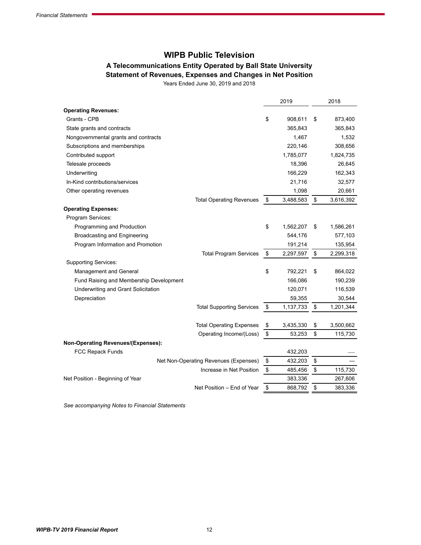# **WIPB Public Television**

## **A Telecommunications Entity Operated by Ball State University Statement of Revenues, Expenses and Changes in Net Position**

Years Ended June 30, 2019 and 2018

|                                                                      |                                       | 2019               | 2018               |
|----------------------------------------------------------------------|---------------------------------------|--------------------|--------------------|
| <b>Operating Revenues:</b>                                           |                                       |                    |                    |
| Grants - CPB                                                         |                                       | \$<br>908,611      | \$<br>873,400      |
| State grants and contracts                                           |                                       | 365,843            | 365,843            |
| Nongovernmental grants and contracts                                 |                                       | 1,467              | 1,532              |
| Subscriptions and memberships                                        |                                       | 220,146            | 308,656            |
| Contributed support                                                  |                                       | 1,785,077          | 1,824,735          |
| Telesale proceeds                                                    |                                       | 18,396             | 26,645             |
| Underwriting                                                         |                                       | 166,229            | 162,343            |
| In-Kind contributions/services                                       |                                       | 21,716             | 32,577             |
| Other operating revenues                                             |                                       | 1,098              | 20,661             |
|                                                                      | <b>Total Operating Revenues</b>       | \$<br>3,488,583    | \$<br>3,616,392    |
| <b>Operating Expenses:</b>                                           |                                       |                    |                    |
| Program Services:                                                    |                                       |                    |                    |
| Programming and Production                                           |                                       | \$<br>1,562,207    | \$<br>1,586,261    |
| Broadcasting and Engineering                                         |                                       | 544,176            | 577,103            |
| Program Information and Promotion                                    |                                       | 191,214            | 135,954            |
|                                                                      | <b>Total Program Services</b>         | \$<br>2,297,597    | \$<br>2,299,318    |
| <b>Supporting Services:</b>                                          |                                       |                    |                    |
| Management and General                                               |                                       | \$<br>792,221      | \$<br>864,022      |
| Fund Raising and Membership Development                              |                                       | 166,086            | 190,239            |
| Underwriting and Grant Solicitation                                  |                                       | 120,071            | 116,539            |
| Depreciation                                                         |                                       | 59,355             | 30,544             |
|                                                                      | <b>Total Supporting Services</b>      | \$<br>1,137,733    | \$<br>1,201,344    |
|                                                                      |                                       |                    |                    |
|                                                                      | <b>Total Operating Expenses</b>       | \$<br>3,435,330    | \$<br>3,500,662    |
|                                                                      | Operating Income/(Loss)               | \$<br>53,253       | \$<br>115,730      |
| <b>Non-Operating Revenues/(Expenses):</b><br><b>FCC Repack Funds</b> |                                       | 432,203            |                    |
|                                                                      | Net Non-Operating Revenues (Expenses) | \$<br>432,203      | \$                 |
|                                                                      |                                       | \$                 | \$                 |
| Net Position - Beginning of Year                                     | Increase in Net Position              | 485,456<br>383,336 | 115,730<br>267,606 |
|                                                                      | Net Position - End of Year            | \$<br>868,792      | \$<br>383,336      |
|                                                                      |                                       |                    |                    |

*See accompanying Notes to Financial Statements*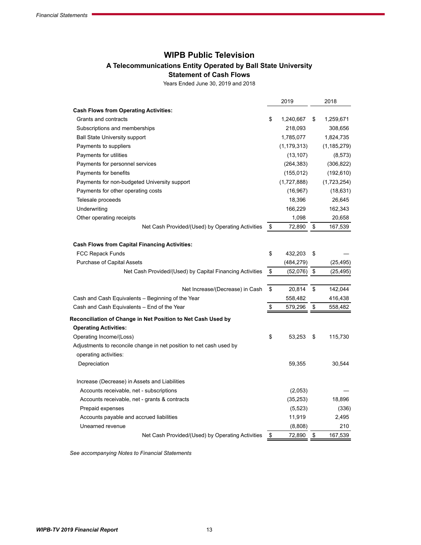# **WIPB Public Television**

## **A Telecommunications Entity Operated by Ball State University**

**Statement of Cash Flows**

Years Ended June 30, 2019 and 2018

|                                                                     | 2019            | 2018            |
|---------------------------------------------------------------------|-----------------|-----------------|
| <b>Cash Flows from Operating Activities:</b>                        |                 |                 |
| Grants and contracts                                                | \$<br>1,240,667 | \$<br>1,259,671 |
| Subscriptions and memberships                                       | 218,093         | 308,656         |
| <b>Ball State University support</b>                                | 1,785,077       | 1,824,735       |
| Payments to suppliers                                               | (1, 179, 313)   | (1, 185, 279)   |
| Payments for utilities                                              | (13, 107)       | (8, 573)        |
| Payments for personnel services                                     | (264, 383)      | (306, 822)      |
| Payments for benefits                                               | (155, 012)      | (192, 610)      |
| Payments for non-budgeted University support                        | (1,727,888)     | (1,723,254)     |
| Payments for other operating costs                                  | (16, 967)       | (18, 631)       |
| Telesale proceeds                                                   | 18,396          | 26,645          |
| Underwriting                                                        | 166,229         | 162,343         |
| Other operating receipts                                            | 1,098           | 20,658          |
| Net Cash Provided/(Used) by Operating Activities                    | \$<br>72,890    | \$<br>167,539   |
| <b>Cash Flows from Capital Financing Activities:</b>                |                 |                 |
| <b>FCC Repack Funds</b>                                             | \$<br>432,203   | \$              |
| Purchase of Capital Assets                                          | (484, 279)      | (25, 495)       |
| Net Cash Provided/(Used) by Capital Financing Activities            | \$<br>(52,076)  | \$<br>(25,495)  |
|                                                                     |                 |                 |
| Net Increase/(Decrease) in Cash                                     | \$<br>20,814    | \$<br>142,044   |
| Cash and Cash Equivalents – Beginning of the Year                   | 558,482         | 416,438         |
| Cash and Cash Equivalents - End of the Year                         | \$<br>579,296   | \$<br>558,482   |
| Reconciliation of Change in Net Position to Net Cash Used by        |                 |                 |
| <b>Operating Activities:</b>                                        |                 |                 |
| Operating Income/(Loss)                                             | \$<br>53,253    | \$<br>115,730   |
| Adjustments to reconcile change in net position to net cash used by |                 |                 |
| operating activities:                                               |                 |                 |
| Depreciation                                                        | 59,355          | 30,544          |
| Increase (Decrease) in Assets and Liabilities                       |                 |                 |
| Accounts receivable, net - subscriptions                            | (2,053)         |                 |
| Accounts receivable, net - grants & contracts                       | (35, 253)       | 18,896          |
| Prepaid expenses                                                    | (5, 523)        | (336)           |
| Accounts payable and accrued liabilities                            | 11,919          | 2,495           |
| Unearned revenue                                                    | (8,808)         | 210             |
| Net Cash Provided/(Used) by Operating Activities                    | \$<br>72,890    | \$<br>167,539   |

*See accompanying Notes to Financial Statements*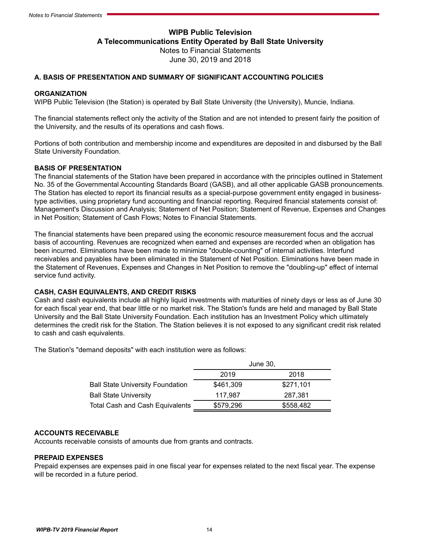## **WIPB Public Television A Telecommunications Entity Operated by Ball State University** Notes to Financial Statements June 30, 2019 and 2018

#### **A. BASIS OF PRESENTATION AND SUMMARY OF SIGNIFICANT ACCOUNTING POLICIES**

#### **ORGANIZATION**

WIPB Public Television (the Station) is operated by Ball State University (the University), Muncie, Indiana.

The financial statements reflect only the activity of the Station and are not intended to present fairly the position of the University, and the results of its operations and cash flows.

Portions of both contribution and membership income and expenditures are deposited in and disbursed by the Ball State University Foundation.

#### **BASIS OF PRESENTATION**

The financial statements of the Station have been prepared in accordance with the principles outlined in Statement No. 35 of the Governmental Accounting Standards Board (GASB), and all other applicable GASB pronouncements. The Station has elected to report its financial results as a special-purpose government entity engaged in businesstype activities, using proprietary fund accounting and financial reporting. Required financial statements consist of: Management's Discussion and Analysis; Statement of Net Position; Statement of Revenue, Expenses and Changes in Net Position; Statement of Cash Flows; Notes to Financial Statements.

The financial statements have been prepared using the economic resource measurement focus and the accrual basis of accounting. Revenues are recognized when earned and expenses are recorded when an obligation has been incurred. Eliminations have been made to minimize "double-counting" of internal activities. Interfund receivables and payables have been eliminated in the Statement of Net Position. Eliminations have been made in the Statement of Revenues, Expenses and Changes in Net Position to remove the "doubling-up" effect of internal service fund activity.

#### **CASH, CASH EQUIVALENTS, AND CREDIT RISKS**

Cash and cash equivalents include all highly liquid investments with maturities of ninety days or less as of June 30 for each fiscal year end, that bear little or no market risk. The Station's funds are held and managed by Ball State University and the Ball State University Foundation. Each institution has an Investment Policy which ultimately determines the credit risk for the Station. The Station believes it is not exposed to any significant credit risk related to cash and cash equivalents.

The Station's "demand deposits" with each institution were as follows:

|                                        |           | June 30,  |
|----------------------------------------|-----------|-----------|
|                                        | 2019      | 2018      |
| Ball State University Foundation       | \$461,309 | \$271,101 |
| <b>Ball State University</b>           | 117.987   | 287.381   |
| <b>Total Cash and Cash Equivalents</b> | \$579,296 | \$558,482 |

#### **ACCOUNTS RECEIVABLE**

Accounts receivable consists of amounts due from grants and contracts.

#### **PREPAID EXPENSES**

Prepaid expenses are expenses paid in one fiscal year for expenses related to the next fiscal year. The expense will be recorded in a future period.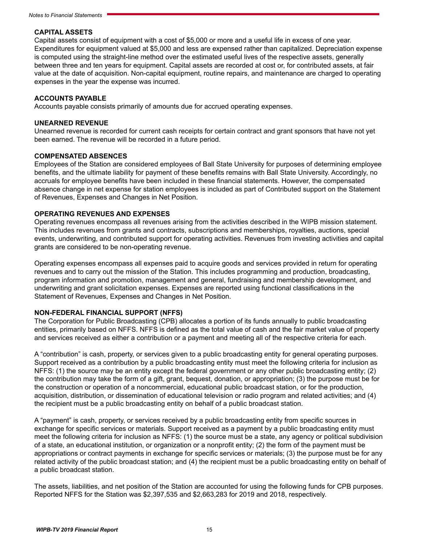#### **CAPITAL ASSETS**

Capital assets consist of equipment with a cost of \$5,000 or more and a useful life in excess of one year. Expenditures for equipment valued at \$5,000 and less are expensed rather than capitalized. Depreciation expense is computed using the straight-line method over the estimated useful lives of the respective assets, generally between three and ten years for equipment. Capital assets are recorded at cost or, for contributed assets, at fair value at the date of acquisition. Non-capital equipment, routine repairs, and maintenance are charged to operating expenses in the year the expense was incurred.

#### **ACCOUNTS PAYABLE**

Accounts payable consists primarily of amounts due for accrued operating expenses.

#### **UNEARNED REVENUE**

Unearned revenue is recorded for current cash receipts for certain contract and grant sponsors that have not yet been earned. The revenue will be recorded in a future period.

#### **COMPENSATED ABSENCES**

Employees of the Station are considered employees of Ball State University for purposes of determining employee benefits, and the ultimate liability for payment of these benefits remains with Ball State University. Accordingly, no accruals for employee benefits have been included in these financial statements. However, the compensated absence change in net expense for station employees is included as part of Contributed support on the Statement of Revenues, Expenses and Changes in Net Position.

#### **OPERATING REVENUES AND EXPENSES**

Operating revenues encompass all revenues arising from the activities described in the WIPB mission statement. This includes revenues from grants and contracts, subscriptions and memberships, royalties, auctions, special events, underwriting, and contributed support for operating activities. Revenues from investing activities and capital grants are considered to be non-operating revenue.

Operating expenses encompass all expenses paid to acquire goods and services provided in return for operating revenues and to carry out the mission of the Station. This includes programming and production, broadcasting, program information and promotion, management and general, fundraising and membership development, and underwriting and grant solicitation expenses. Expenses are reported using functional classifications in the Statement of Revenues, Expenses and Changes in Net Position.

#### **NON-FEDERAL FINANCIAL SUPPORT (NFFS)**

The Corporation for Public Broadcasting (CPB) allocates a portion of its funds annually to public broadcasting entities, primarily based on NFFS. NFFS is defined as the total value of cash and the fair market value of property and services received as either a contribution or a payment and meeting all of the respective criteria for each.

A "contribution" is cash, property, or services given to a public broadcasting entity for general operating purposes. Support received as a contribution by a public broadcasting entity must meet the following criteria for inclusion as NFFS: (1) the source may be an entity except the federal government or any other public broadcasting entity; (2) the contribution may take the form of a gift, grant, bequest, donation, or appropriation; (3) the purpose must be for the construction or operation of a noncommercial, educational public broadcast station, or for the production, acquisition, distribution, or dissemination of educational television or radio program and related activities; and (4) the recipient must be a public broadcasting entity on behalf of a public broadcast station.

A "payment" is cash, property, or services received by a public broadcasting entity from specific sources in exchange for specific services or materials. Support received as a payment by a public broadcasting entity must meet the following criteria for inclusion as NFFS: (1) the source must be a state, any agency or political subdivision of a state, an educational institution, or organization or a nonprofit entity; (2) the form of the payment must be appropriations or contract payments in exchange for specific services or materials; (3) the purpose must be for any related activity of the public broadcast station; and (4) the recipient must be a public broadcasting entity on behalf of a public broadcast station.

The assets, liabilities, and net position of the Station are accounted for using the following funds for CPB purposes. Reported NFFS for the Station was \$2,397,535 and \$2,663,283 for 2019 and 2018, respectively.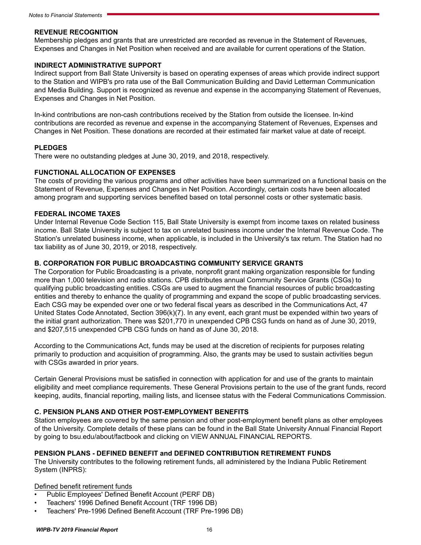#### **REVENUE RECOGNITION**

Membership pledges and grants that are unrestricted are recorded as revenue in the Statement of Revenues, Expenses and Changes in Net Position when received and are available for current operations of the Station.

#### **INDIRECT ADMINISTRATIVE SUPPORT**

Indirect support from Ball State University is based on operating expenses of areas which provide indirect support to the Station and WIPB's pro rata use of the Ball Communication Building and David Letterman Communication and Media Building. Support is recognized as revenue and expense in the accompanying Statement of Revenues, Expenses and Changes in Net Position.

In-kind contributions are non-cash contributions received by the Station from outside the licensee. In-kind contributions are recorded as revenue and expense in the accompanying Statement of Revenues, Expenses and Changes in Net Position. These donations are recorded at their estimated fair market value at date of receipt.

#### **PLEDGES**

There were no outstanding pledges at June 30, 2019, and 2018, respectively.

#### **FUNCTIONAL ALLOCATION OF EXPENSES**

The costs of providing the various programs and other activities have been summarized on a functional basis on the Statement of Revenue, Expenses and Changes in Net Position. Accordingly, certain costs have been allocated among program and supporting services benefited based on total personnel costs or other systematic basis.

#### **FEDERAL INCOME TAXES**

Under Internal Revenue Code Section 115, Ball State University is exempt from income taxes on related business income. Ball State University is subject to tax on unrelated business income under the Internal Revenue Code. The Station's unrelated business income, when applicable, is included in the University's tax return. The Station had no tax liability as of June 30, 2019, or 2018, respectively.

#### **B. CORPORATION FOR PUBLIC BROADCASTING COMMUNITY SERVICE GRANTS**

The Corporation for Public Broadcasting is a private, nonprofit grant making organization responsible for funding more than 1,000 television and radio stations. CPB distributes annual Community Service Grants (CSGs) to qualifying public broadcasting entities. CSGs are used to augment the financial resources of public broadcasting entities and thereby to enhance the quality of programming and expand the scope of public broadcasting services. Each CSG may be expended over one or two federal fiscal years as described in the Communications Act, 47 United States Code Annotated, Section 396(k)(7). In any event, each grant must be expended within two years of the initial grant authorization. There was \$201,770 in unexpended CPB CSG funds on hand as of June 30, 2019, and \$207,515 unexpended CPB CSG funds on hand as of June 30, 2018.

According to the Communications Act, funds may be used at the discretion of recipients for purposes relating primarily to production and acquisition of programming. Also, the grants may be used to sustain activities begun with CSGs awarded in prior years.

Certain General Provisions must be satisfied in connection with application for and use of the grants to maintain eligibility and meet compliance requirements. These General Provisions pertain to the use of the grant funds, record keeping, audits, financial reporting, mailing lists, and licensee status with the Federal Communications Commission.

#### **C. PENSION PLANS AND OTHER POST-EMPLOYMENT BENEFITS**

Station employees are covered by the same pension and other post-employment benefit plans as other employees of the University. Complete details of these plans can be found in the Ball State University Annual Financial Report by going to bsu.edu/about/factbook and clicking on VIEW ANNUAL FINANCIAL REPORTS.

#### **PENSION PLANS - DEFINED BENEFIT and DEFINED CONTRIBUTION RETIREMENT FUNDS**

The University contributes to the following retirement funds, all administered by the Indiana Public Retirement System (INPRS):

#### Defined benefit retirement funds

- Public Employees' Defined Benefit Account (PERF DB)
- Teachers' 1996 Defined Benefit Account (TRF 1996 DB)
- Teachers' Pre-1996 Defined Benefit Account (TRF Pre-1996 DB)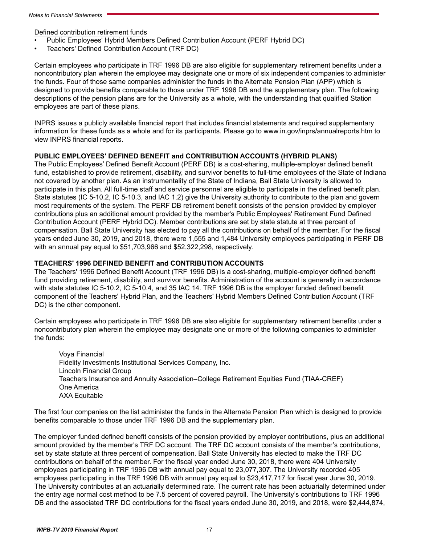Defined contribution retirement funds

- Public Employees' Hybrid Members Defined Contribution Account (PERF Hybrid DC)
- Teachers' Defined Contribution Account (TRF DC)

Certain employees who participate in TRF 1996 DB are also eligible for supplementary retirement benefits under a noncontributory plan wherein the employee may designate one or more of six independent companies to administer the funds. Four of those same companies administer the funds in the Alternate Pension Plan (APP) which is designed to provide benefits comparable to those under TRF 1996 DB and the supplementary plan. The following descriptions of the pension plans are for the University as a whole, with the understanding that qualified Station employees are part of these plans.

INPRS issues a publicly available financial report that includes financial statements and required supplementary information for these funds as a whole and for its participants. Please go to www.in.gov/inprs/annualreports.htm to view INPRS financial reports.

#### **PUBLIC EMPLOYEES' DEFINED BENEFIT and CONTRIBUTION ACCOUNTS (HYBRID PLANS)**

The Public Employees' Defined Benefit Account (PERF DB) is a cost-sharing, multiple-employer defined benefit fund, established to provide retirement, disability, and survivor benefits to full-time employees of the State of Indiana not covered by another plan. As an instrumentality of the State of Indiana, Ball State University is allowed to participate in this plan. All full-time staff and service personnel are eligible to participate in the defined benefit plan. State statutes (IC 5-10.2, IC 5-10.3, and IAC 1.2) give the University authority to contribute to the plan and govern most requirements of the system. The PERF DB retirement benefit consists of the pension provided by employer contributions plus an additional amount provided by the member's Public Employees' Retirement Fund Defined Contribution Account (PERF Hybrid DC). Member contributions are set by state statute at three percent of compensation. Ball State University has elected to pay all the contributions on behalf of the member. For the fiscal years ended June 30, 2019, and 2018, there were 1,555 and 1,484 University employees participating in PERF DB with an annual pay equal to \$51,703,966 and \$52,322,298, respectively.

#### **TEACHERS' 1996 DEFINED BENEFIT and CONTRIBUTION ACCOUNTS**

The Teachers' 1996 Defined Benefit Account (TRF 1996 DB) is a cost-sharing, multiple-employer defined benefit fund providing retirement, disability, and survivor benefits. Administration of the account is generally in accordance with state statutes IC 5-10.2, IC 5-10.4, and 35 IAC 14. TRF 1996 DB is the employer funded defined benefit component of the Teachers' Hybrid Plan, and the Teachers' Hybrid Members Defined Contribution Account (TRF DC) is the other component.

Certain employees who participate in TRF 1996 DB are also eligible for supplementary retirement benefits under a noncontributory plan wherein the employee may designate one or more of the following companies to administer the funds:

Voya Financial Fidelity Investments Institutional Services Company, Inc. Lincoln Financial Group Teachers Insurance and Annuity Association–College Retirement Equities Fund (TIAA-CREF) One America AXA Equitable

The first four companies on the list administer the funds in the Alternate Pension Plan which is designed to provide benefits comparable to those under TRF 1996 DB and the supplementary plan.

The employer funded defined benefit consists of the pension provided by employer contributions, plus an additional amount provided by the member's TRF DC account. The TRF DC account consists of the member's contributions, set by state statute at three percent of compensation. Ball State University has elected to make the TRF DC contributions on behalf of the member. For the fiscal year ended June 30, 2018, there were 404 University employees participating in TRF 1996 DB with annual pay equal to 23,077,307. The University recorded 405 employees participating in the TRF 1996 DB with annual pay equal to \$23,417,717 for fiscal year June 30, 2019. The University contributes at an actuarially determined rate. The current rate has been actuarially determined under the entry age normal cost method to be 7.5 percent of covered payroll. The University's contributions to TRF 1996 DB and the associated TRF DC contributions for the fiscal years ended June 30, 2019, and 2018, were \$2,444,874,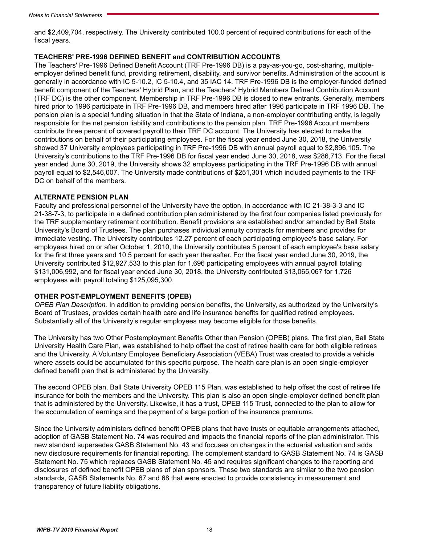and \$2,409,704, respectively. The University contributed 100.0 percent of required contributions for each of the fiscal years.

#### **TEACHERS' PRE-1996 DEFINED BENEFIT and CONTRIBUTION ACCOUNTS**

The Teachers' Pre-1996 Defined Benefit Account (TRF Pre-1996 DB) is a pay-as-you-go, cost-sharing, multipleemployer defined benefit fund, providing retirement, disability, and survivor benefits. Administration of the account is generally in accordance with IC 5-10.2, IC 5-10.4, and 35 IAC 14. TRF Pre-1996 DB is the employer-funded defined benefit component of the Teachers' Hybrid Plan, and the Teachers' Hybrid Members Defined Contribution Account (TRF DC) is the other component. Membership in TRF Pre-1996 DB is closed to new entrants. Generally, members hired prior to 1996 participate in TRF Pre-1996 DB, and members hired after 1996 participate in TRF 1996 DB. The pension plan is a special funding situation in that the State of Indiana, a non-employer contributing entity, is legally responsible for the net pension liability and contributions to the pension plan. TRF Pre-1996 Account members contribute three percent of covered payroll to their TRF DC account. The University has elected to make the contributions on behalf of their participating employees. For the fiscal year ended June 30, 2018, the University showed 37 University employees participating in TRF Pre-1996 DB with annual payroll equal to \$2,896,105. The University's contributions to the TRF Pre-1996 DB for fiscal year ended June 30, 2018, was \$286,713. For the fiscal year ended June 30, 2019, the University shows 32 employees participating in the TRF Pre-1996 DB with annual payroll equal to \$2,546,007. The University made contributions of \$251,301 which included payments to the TRF DC on behalf of the members.

#### **ALTERNATE PENSION PLAN**

Faculty and professional personnel of the University have the option, in accordance with IC 21-38-3-3 and IC 21-38-7-3, to participate in a defined contribution plan administered by the first four companies listed previously for the TRF supplementary retirement contribution. Benefit provisions are established and/or amended by Ball State University's Board of Trustees. The plan purchases individual annuity contracts for members and provides for immediate vesting. The University contributes 12.27 percent of each participating employee's base salary. For employees hired on or after October 1, 2010, the University contributes 5 percent of each employee's base salary for the first three years and 10.5 percent for each year thereafter. For the fiscal year ended June 30, 2019, the University contributed \$12,927,533 to this plan for 1,696 participating employees with annual payroll totaling \$131,006,992, and for fiscal year ended June 30, 2018, the University contributed \$13,065,067 for 1,726 employees with payroll totaling \$125,095,300.

#### **OTHER POST-EMPLOYMENT BENEFITS (OPEB)**

*OPEB Plan Description.* In addition to providing pension benefits, the University, as authorized by the University's Board of Trustees, provides certain health care and life insurance benefits for qualified retired employees. Substantially all of the University's regular employees may become eligible for those benefits.

The University has two Other Postemployment Benefits Other than Pension (OPEB) plans. The first plan, Ball State University Health Care Plan, was established to help offset the cost of retiree health care for both eligible retirees and the University. A Voluntary Employee Beneficiary Association (VEBA) Trust was created to provide a vehicle where assets could be accumulated for this specific purpose. The health care plan is an open single-employer defined benefit plan that is administered by the University.

The second OPEB plan, Ball State University OPEB 115 Plan, was established to help offset the cost of retiree life insurance for both the members and the University. This plan is also an open single-employer defined benefit plan that is administered by the University. Likewise, it has a trust, OPEB 115 Trust, connected to the plan to allow for the accumulation of earnings and the payment of a large portion of the insurance premiums.

Since the University administers defined benefit OPEB plans that have trusts or equitable arrangements attached, adoption of GASB Statement No. 74 was required and impacts the financial reports of the plan administrator. This new standard supersedes GASB Statement No. 43 and focuses on changes in the actuarial valuation and adds new disclosure requirements for financial reporting. The complement standard to GASB Statement No. 74 is GASB Statement No. 75 which replaces GASB Statement No. 45 and requires significant changes to the reporting and disclosures of defined benefit OPEB plans of plan sponsors. These two standards are similar to the two pension standards, GASB Statements No. 67 and 68 that were enacted to provide consistency in measurement and transparency of future liability obligations.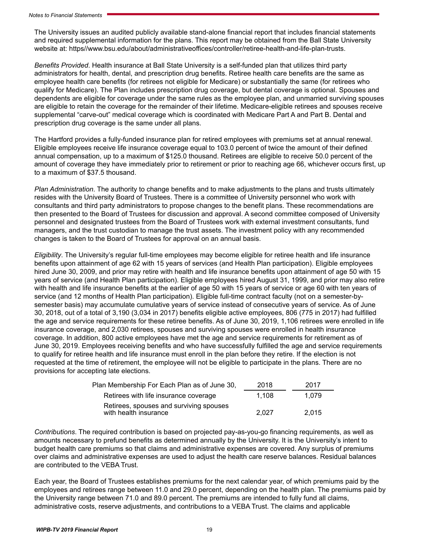The University issues an audited publicly available stand-alone financial report that includes financial statements and required supplemental information for the plans. This report may be obtained from the Ball State University website at: https//www.bsu.edu/about/administrativeoffices/controller/retiree-health-and-life-plan-trusts.

*Benefits Provided*. Health insurance at Ball State University is a self-funded plan that utilizes third party administrators for health, dental, and prescription drug benefits. Retiree health care benefits are the same as employee health care benefits (for retirees not eligible for Medicare) or substantially the same (for retirees who qualify for Medicare). The Plan includes prescription drug coverage, but dental coverage is optional. Spouses and dependents are eligible for coverage under the same rules as the employee plan, and unmarried surviving spouses are eligible to retain the coverage for the remainder of their lifetime. Medicare-eligible retirees and spouses receive supplemental "carve-out" medical coverage which is coordinated with Medicare Part A and Part B. Dental and prescription drug coverage is the same under all plans.

The Hartford provides a fully-funded insurance plan for retired employees with premiums set at annual renewal. Eligible employees receive life insurance coverage equal to 103.0 percent of twice the amount of their defined annual compensation, up to a maximum of \$125.0 thousand. Retirees are eligible to receive 50.0 percent of the amount of coverage they have immediately prior to retirement or prior to reaching age 66, whichever occurs first, up to a maximum of \$37.5 thousand.

*Plan Administration*. The authority to change benefits and to make adjustments to the plans and trusts ultimately resides with the University Board of Trustees. There is a committee of University personnel who work with consultants and third party administrators to propose changes to the benefit plans. These recommendations are then presented to the Board of Trustees for discussion and approval. A second committee composed of University personnel and designated trustees from the Board of Trustees work with external investment consultants, fund managers, and the trust custodian to manage the trust assets. The investment policy with any recommended changes is taken to the Board of Trustees for approval on an annual basis.

*Eligibility*. The University's regular full-time employees may become eligible for retiree health and life insurance benefits upon attainment of age 62 with 15 years of services (and Health Plan participation). Eligible employees hired June 30, 2009, and prior may retire with health and life insurance benefits upon attainment of age 50 with 15 years of service (and Health Plan participation). Eligible employees hired August 31, 1999, and prior may also retire with health and life insurance benefits at the earlier of age 50 with 15 years of service or age 60 with ten years of service (and 12 months of Health Plan participation). Eligible full-time contract faculty (not on a semester-bysemester basis) may accumulate cumulative years of service instead of consecutive years of service. As of June 30, 2018, out of a total of 3,190 (3,034 in 2017) benefits eligible active employees, 806 (775 in 2017) had fulfilled the age and service requirements for these retiree benefits. As of June 30, 2019, 1,106 retirees were enrolled in life insurance coverage, and 2,030 retirees, spouses and surviving spouses were enrolled in health insurance coverage. In addition, 800 active employees have met the age and service requirements for retirement as of June 30, 2019. Employees receiving benefits and who have successfully fulfilled the age and service requirements to qualify for retiree health and life insurance must enroll in the plan before they retire. If the election is not requested at the time of retirement, the employee will not be eligible to participate in the plans. There are no provisions for accepting late elections.

| Plan Membership For Each Plan as of June 30,                     | 2018  | 2017  |
|------------------------------------------------------------------|-------|-------|
| Retirees with life insurance coverage                            | 1.108 | 1.079 |
| Retirees, spouses and surviving spouses<br>with health insurance | 2.027 | 2.015 |

*Contributions*. The required contribution is based on projected pay-as-you-go financing requirements, as well as amounts necessary to prefund benefits as determined annually by the University. It is the University's intent to budget health care premiums so that claims and administrative expenses are covered. Any surplus of premiums over claims and administrative expenses are used to adjust the health care reserve balances. Residual balances are contributed to the VEBA Trust.

Each year, the Board of Trustees establishes premiums for the next calendar year, of which premiums paid by the employees and retirees range between 11.0 and 29.0 percent, depending on the health plan. The premiums paid by the University range between 71.0 and 89.0 percent. The premiums are intended to fully fund all claims, administrative costs, reserve adjustments, and contributions to a VEBA Trust. The claims and applicable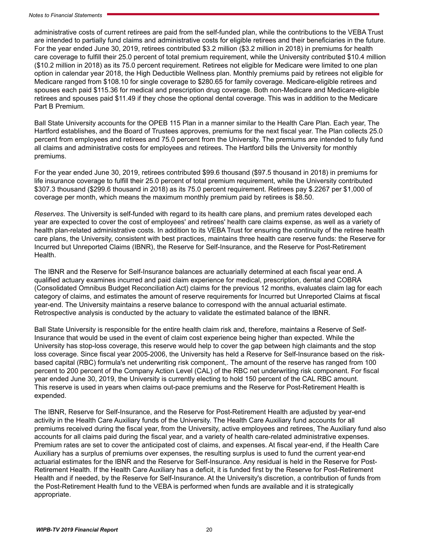administrative costs of current retirees are paid from the self-funded plan, while the contributions to the VEBA Trust are intended to partially fund claims and administrative costs for eligible retirees and their beneficiaries in the future. For the year ended June 30, 2019, retirees contributed \$3.2 million (\$3.2 million in 2018) in premiums for health care coverage to fulfill their 25.0 percent of total premium requirement, while the University contributed \$10.4 million (\$10.2 million in 2018) as its 75.0 percent requirement. Retirees not eligible for Medicare were limited to one plan option in calendar year 2018, the High Deductible Wellness plan. Monthly premiums paid by retirees not eligible for Medicare ranged from \$108.10 for single coverage to \$280.65 for family coverage. Medicare-eligible retirees and spouses each paid \$115.36 for medical and prescription drug coverage. Both non-Medicare and Medicare-eligible retirees and spouses paid \$11.49 if they chose the optional dental coverage. This was in addition to the Medicare Part B Premium.

Ball State University accounts for the OPEB 115 Plan in a manner similar to the Health Care Plan. Each year, The Hartford establishes, and the Board of Trustees approves, premiums for the next fiscal year. The Plan collects 25.0 percent from employees and retirees and 75.0 percent from the University. The premiums are intended to fully fund all claims and administrative costs for employees and retirees. The Hartford bills the University for monthly premiums.

For the year ended June 30, 2019, retirees contributed \$99.6 thousand (\$97.5 thousand in 2018) in premiums for life insurance coverage to fulfill their 25.0 percent of total premium requirement, while the University contributed \$307.3 thousand (\$299.6 thousand in 2018) as its 75.0 percent requirement. Retirees pay \$.2267 per \$1,000 of coverage per month, which means the maximum monthly premium paid by retirees is \$8.50.

*Reserves*. The University is self-funded with regard to its health care plans, and premium rates developed each year are expected to cover the cost of employees' and retirees' health care claims expense, as well as a variety of health plan-related administrative costs. In addition to its VEBA Trust for ensuring the continuity of the retiree health care plans, the University, consistent with best practices, maintains three health care reserve funds: the Reserve for Incurred but Unreported Claims (IBNR), the Reserve for Self-Insurance, and the Reserve for Post-Retirement Health.

The IBNR and the Reserve for Self-Insurance balances are actuarially determined at each fiscal year end. A qualified actuary examines incurred and paid claim experience for medical, prescription, dental and COBRA (Consolidated Omnibus Budget Reconciliation Act) claims for the previous 12 months, evaluates claim lag for each category of claims, and estimates the amount of reserve requirements for Incurred but Unreported Claims at fiscal year-end. The University maintains a reserve balance to correspond with the annual actuarial estimate. Retrospective analysis is conducted by the actuary to validate the estimated balance of the IBNR.

Ball State University is responsible for the entire health claim risk and, therefore, maintains a Reserve of Self-Insurance that would be used in the event of claim cost experience being higher than expected. While the University has stop-loss coverage, this reserve would help to cover the gap between high claimants and the stop loss coverage. Since fiscal year 2005-2006, the University has held a Reserve for Self-Insurance based on the riskbased capital (RBC) formula's net underwriting risk component,. The amount of the reserve has ranged from 100 percent to 200 percent of the Company Action Level (CAL) of the RBC net underwriting risk component. For fiscal year ended June 30, 2019, the University is currently electing to hold 150 percent of the CAL RBC amount. This reserve is used in years when claims out-pace premiums and the Reserve for Post-Retirement Health is expended.

The IBNR, Reserve for Self-Insurance, and the Reserve for Post-Retirement Health are adjusted by year-end activity in the Health Care Auxiliary funds of the University. The Health Care Auxiliary fund accounts for all premiums received during the fiscal year, from the University, active employees and retirees, The Auxiliary fund also accounts for all claims paid during the fiscal year, and a variety of health care-related administrative expenses. Premium rates are set to cover the anticipated cost of claims, and expenses. At fiscal year-end, if the Health Care Auxiliary has a surplus of premiums over expenses, the resulting surplus is used to fund the current year-end actuarial estimates for the IBNR and the Reserve for Self-Insurance. Any residual is held in the Reserve for Post-Retirement Health. If the Health Care Auxiliary has a deficit, it is funded first by the Reserve for Post-Retirement Health and if needed, by the Reserve for Self-Insurance. At the University's discretion, a contribution of funds from the Post-Retirement Health fund to the VEBA is performed when funds are available and it is strategically appropriate.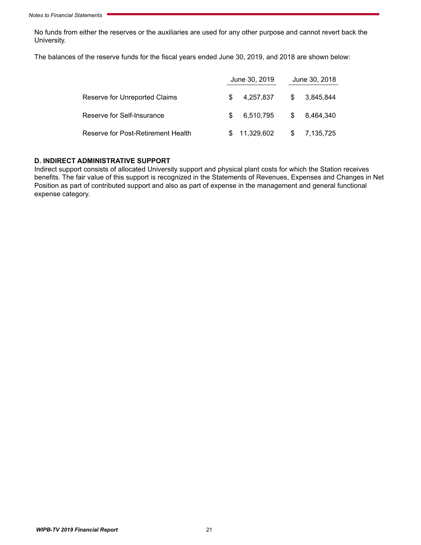No funds from either the reserves or the auxiliaries are used for any other purpose and cannot revert back the University.

The balances of the reserve funds for the fiscal years ended June 30, 2019, and 2018 are shown below:

|                                    |     | June 30, 2019 |     | June 30, 2018 |  |  |  |
|------------------------------------|-----|---------------|-----|---------------|--|--|--|
| Reserve for Unreported Claims      | \$. | 4,257,837     | - S | 3.845.844     |  |  |  |
| Reserve for Self-Insurance         | S.  | 6,510,795     |     | \$ 8.464.340  |  |  |  |
| Reserve for Post-Retirement Health |     | \$11,329,602  |     | \$7,135,725   |  |  |  |

#### **D. INDIRECT ADMINISTRATIVE SUPPORT**

Indirect support consists of allocated University support and physical plant costs for which the Station receives benefits. The fair value of this support is recognized in the Statements of Revenues, Expenses and Changes in Net Position as part of contributed support and also as part of expense in the management and general functional expense category.